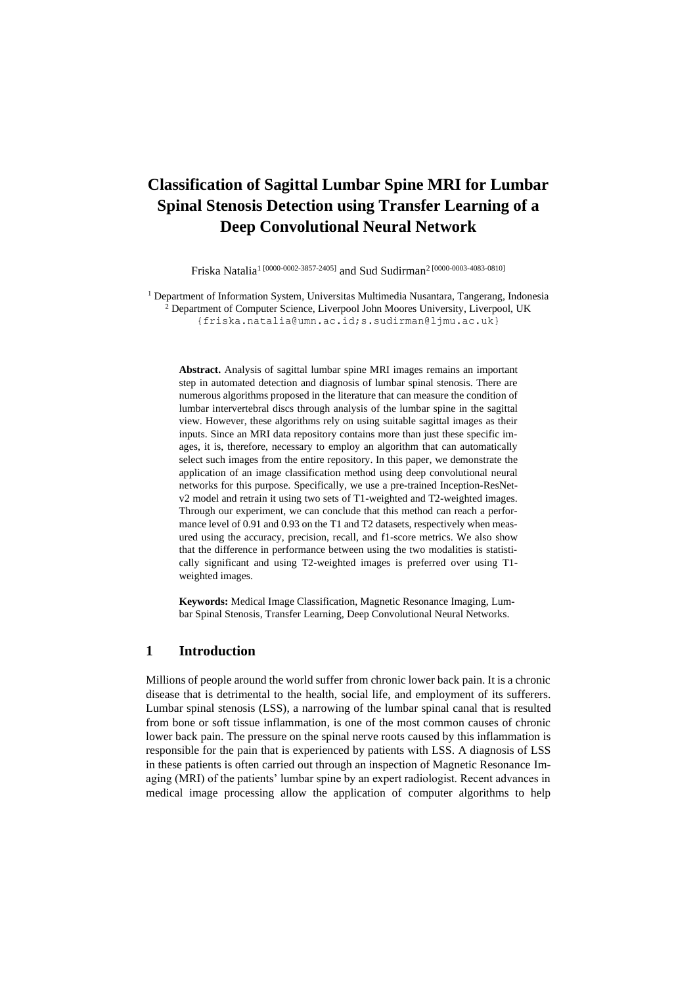# **Classification of Sagittal Lumbar Spine MRI for Lumbar Spinal Stenosis Detection using Transfer Learning of a Deep Convolutional Neural Network**

Friska Natalia<sup>1 [0000-0002-3857-2405]</sup> and Sud Sudirman<sup>2 [0000-0003-4083-0810]</sup>

 $<sup>1</sup>$  Department of Information System, Universitas Multimedia Nusantara, Tangerang, Indonesia</sup> <sup>2</sup> Department of Computer Science, Liverpool John Moores University, Liverpool, UK {friska.natalia@umn.ac.id;s.sudirman@ljmu.ac.uk}

**Abstract.** Analysis of sagittal lumbar spine MRI images remains an important step in automated detection and diagnosis of lumbar spinal stenosis. There are numerous algorithms proposed in the literature that can measure the condition of lumbar intervertebral discs through analysis of the lumbar spine in the sagittal view. However, these algorithms rely on using suitable sagittal images as their inputs. Since an MRI data repository contains more than just these specific images, it is, therefore, necessary to employ an algorithm that can automatically select such images from the entire repository. In this paper, we demonstrate the application of an image classification method using deep convolutional neural networks for this purpose. Specifically, we use a pre-trained Inception-ResNetv2 model and retrain it using two sets of T1-weighted and T2-weighted images. Through our experiment, we can conclude that this method can reach a performance level of 0.91 and 0.93 on the T1 and T2 datasets, respectively when measured using the accuracy, precision, recall, and f1-score metrics. We also show that the difference in performance between using the two modalities is statistically significant and using T2-weighted images is preferred over using T1 weighted images.

**Keywords:** Medical Image Classification, Magnetic Resonance Imaging, Lumbar Spinal Stenosis, Transfer Learning, Deep Convolutional Neural Networks.

#### **1 Introduction**

Millions of people around the world suffer from chronic lower back pain. It is a chronic disease that is detrimental to the health, social life, and employment of its sufferers. Lumbar spinal stenosis (LSS), a narrowing of the lumbar spinal canal that is resulted from bone or soft tissue inflammation, is one of the most common causes of chronic lower back pain. The pressure on the spinal nerve roots caused by this inflammation is responsible for the pain that is experienced by patients with LSS. A diagnosis of LSS in these patients is often carried out through an inspection of Magnetic Resonance Imaging (MRI) of the patients' lumbar spine by an expert radiologist. Recent advances in medical image processing allow the application of computer algorithms to help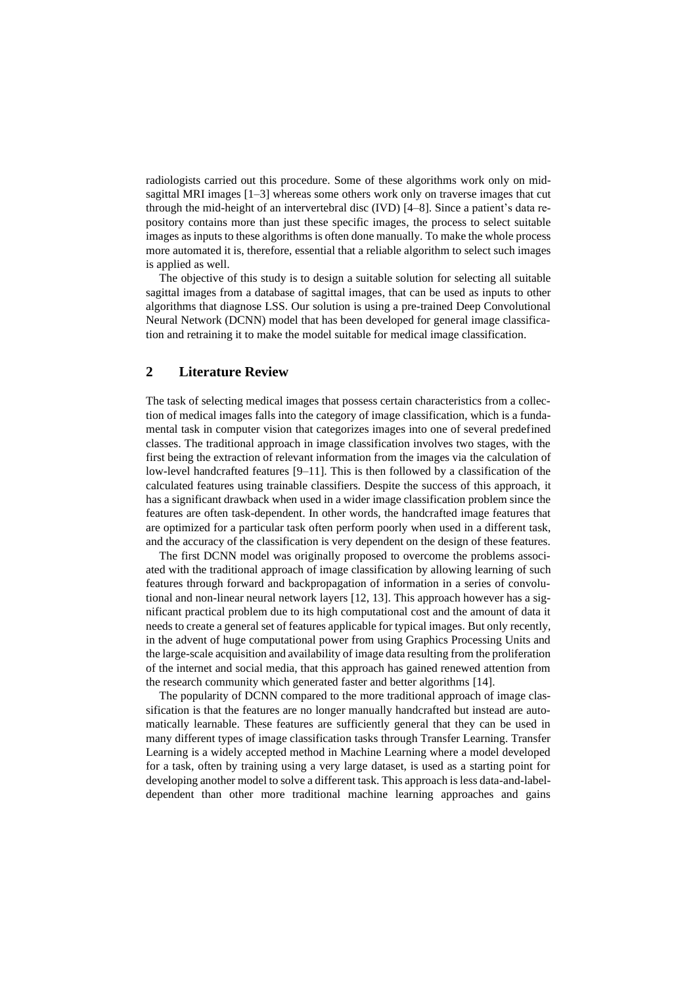radiologists carried out this procedure. Some of these algorithms work only on midsagittal MRI images [1–3] whereas some others work only on traverse images that cut through the mid-height of an intervertebral disc (IVD) [4–8]. Since a patient's data repository contains more than just these specific images, the process to select suitable images as inputs to these algorithms is often done manually. To make the whole process more automated it is, therefore, essential that a reliable algorithm to select such images is applied as well.

The objective of this study is to design a suitable solution for selecting all suitable sagittal images from a database of sagittal images, that can be used as inputs to other algorithms that diagnose LSS. Our solution is using a pre-trained Deep Convolutional Neural Network (DCNN) model that has been developed for general image classification and retraining it to make the model suitable for medical image classification.

#### **2 Literature Review**

The task of selecting medical images that possess certain characteristics from a collection of medical images falls into the category of image classification, which is a fundamental task in computer vision that categorizes images into one of several predefined classes. The traditional approach in image classification involves two stages, with the first being the extraction of relevant information from the images via the calculation of low-level handcrafted features [9–11]. This is then followed by a classification of the calculated features using trainable classifiers. Despite the success of this approach, it has a significant drawback when used in a wider image classification problem since the features are often task-dependent. In other words, the handcrafted image features that are optimized for a particular task often perform poorly when used in a different task, and the accuracy of the classification is very dependent on the design of these features.

The first DCNN model was originally proposed to overcome the problems associated with the traditional approach of image classification by allowing learning of such features through forward and backpropagation of information in a series of convolutional and non-linear neural network layers [12, 13]. This approach however has a significant practical problem due to its high computational cost and the amount of data it needs to create a general set of features applicable for typical images. But only recently, in the advent of huge computational power from using Graphics Processing Units and the large-scale acquisition and availability of image data resulting from the proliferation of the internet and social media, that this approach has gained renewed attention from the research community which generated faster and better algorithms [14].

The popularity of DCNN compared to the more traditional approach of image classification is that the features are no longer manually handcrafted but instead are automatically learnable. These features are sufficiently general that they can be used in many different types of image classification tasks through Transfer Learning. Transfer Learning is a widely accepted method in Machine Learning where a model developed for a task, often by training using a very large dataset, is used as a starting point for developing another model to solve a different task. This approach is less data-and-labeldependent than other more traditional machine learning approaches and gains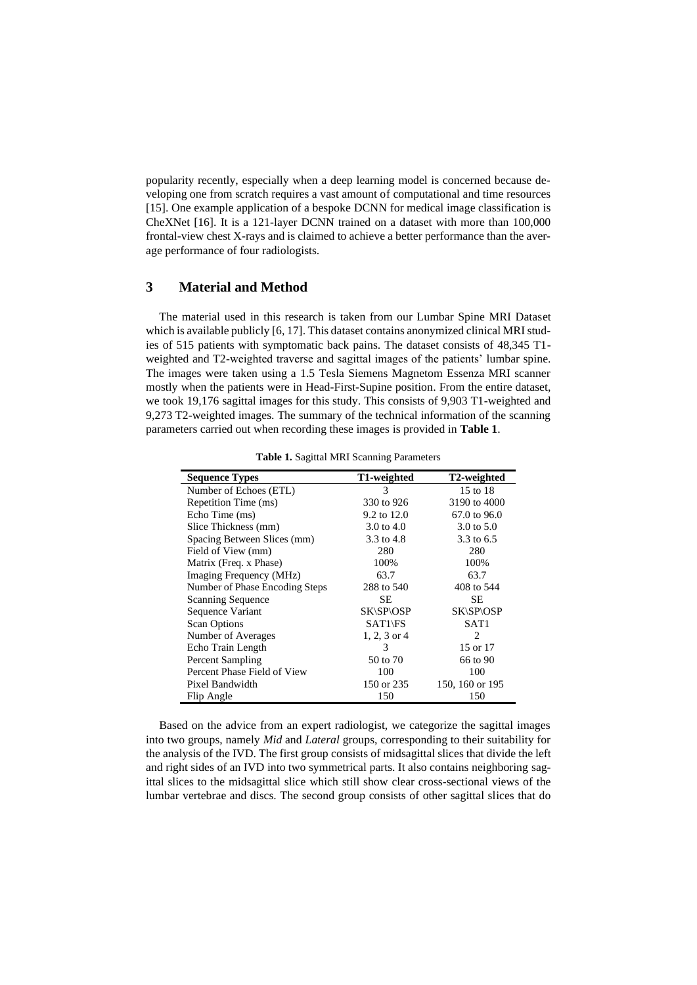popularity recently, especially when a deep learning model is concerned because developing one from scratch requires a vast amount of computational and time resources [15]. One example application of a bespoke DCNN for medical image classification is CheXNet [16]. It is a 121-layer DCNN trained on a dataset with more than 100,000 frontal-view chest X-rays and is claimed to achieve a better performance than the average performance of four radiologists.

## **3 Material and Method**

The material used in this research is taken from our Lumbar Spine MRI Dataset which is available publicly [6, 17]. This dataset contains anonymized clinical MRI studies of 515 patients with symptomatic back pains. The dataset consists of 48,345 T1 weighted and T2-weighted traverse and sagittal images of the patients' lumbar spine. The images were taken using a 1.5 Tesla Siemens Magnetom Essenza MRI scanner mostly when the patients were in Head-First-Supine position. From the entire dataset, we took 19,176 sagittal images for this study. This consists of 9,903 T1-weighted and 9,273 T2-weighted images. The summary of the technical information of the scanning parameters carried out when recording these images is provided in **[Table 1](#page-2-0)**.

<span id="page-2-0"></span>

| <b>Sequence Types</b>          | T1-weighted  | T2-weighted     |  |
|--------------------------------|--------------|-----------------|--|
| Number of Echoes (ETL)         | 3            | 15 to 18        |  |
| Repetition Time (ms)           | 330 to 926   | 3190 to 4000    |  |
| Echo Time (ms)                 | 9.2 to 12.0  | 67.0 to 96.0    |  |
| Slice Thickness (mm)           | 3.0 to $4.0$ | 3.0 to $5.0$    |  |
| Spacing Between Slices (mm)    | 3.3 to 4.8   | 3.3 to 6.5      |  |
| Field of View (mm)             | 280          | 280             |  |
| Matrix (Freq. x Phase)         | 100%         | 100%            |  |
| Imaging Frequency (MHz)        | 63.7         | 63.7            |  |
| Number of Phase Encoding Steps | 288 to 540   | 408 to 544      |  |
| <b>Scanning Sequence</b>       | SE.          | SЕ              |  |
| Sequence Variant               | SK\SP\OSP    | SK\SP\OSP       |  |
| <b>Scan Options</b>            | SAT1\FS      | SAT1            |  |
| Number of Averages             | 1, 2, 3 or 4 | $\overline{c}$  |  |
| Echo Train Length              | 3            | 15 or 17        |  |
| Percent Sampling               | 50 to 70     | 66 to 90        |  |
| Percent Phase Field of View    | 100          | 100             |  |
| Pixel Bandwidth                | 150 or 235   | 150, 160 or 195 |  |
| Flip Angle                     | 150          | 150             |  |

**Table 1.** Sagittal MRI Scanning Parameters

Based on the advice from an expert radiologist, we categorize the sagittal images into two groups, namely *Mid* and *Lateral* groups, corresponding to their suitability for the analysis of the IVD. The first group consists of midsagittal slices that divide the left and right sides of an IVD into two symmetrical parts. It also contains neighboring sagittal slices to the midsagittal slice which still show clear cross-sectional views of the lumbar vertebrae and discs. The second group consists of other sagittal slices that do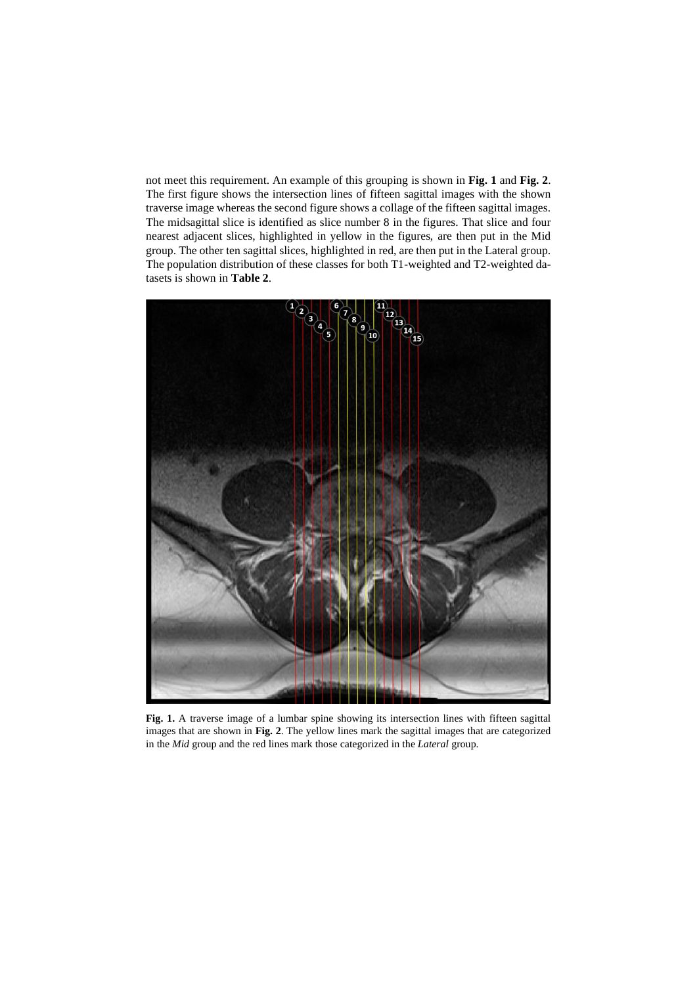not meet this requirement. An example of this grouping is shown in **[Fig. 1](#page-3-0)** and **[Fig. 2](#page-4-0)**. The first figure shows the intersection lines of fifteen sagittal images with the shown traverse image whereas the second figure shows a collage of the fifteen sagittal images. The midsagittal slice is identified as slice number 8 in the figures. That slice and four nearest adjacent slices, highlighted in yellow in the figures, are then put in the Mid group. The other ten sagittal slices, highlighted in red, are then put in the Lateral group. The population distribution of these classes for both T1-weighted and T2-weighted datasets is shown in **[Table 2](#page-4-1)**.

<span id="page-3-0"></span>

Fig. 1. A traverse image of a lumbar spine showing its intersection lines with fifteen sagittal images that are shown in **[Fig. 2](#page-4-0)**. The yellow lines mark the sagittal images that are categorized in the *Mid* group and the red lines mark those categorized in the *Lateral* group.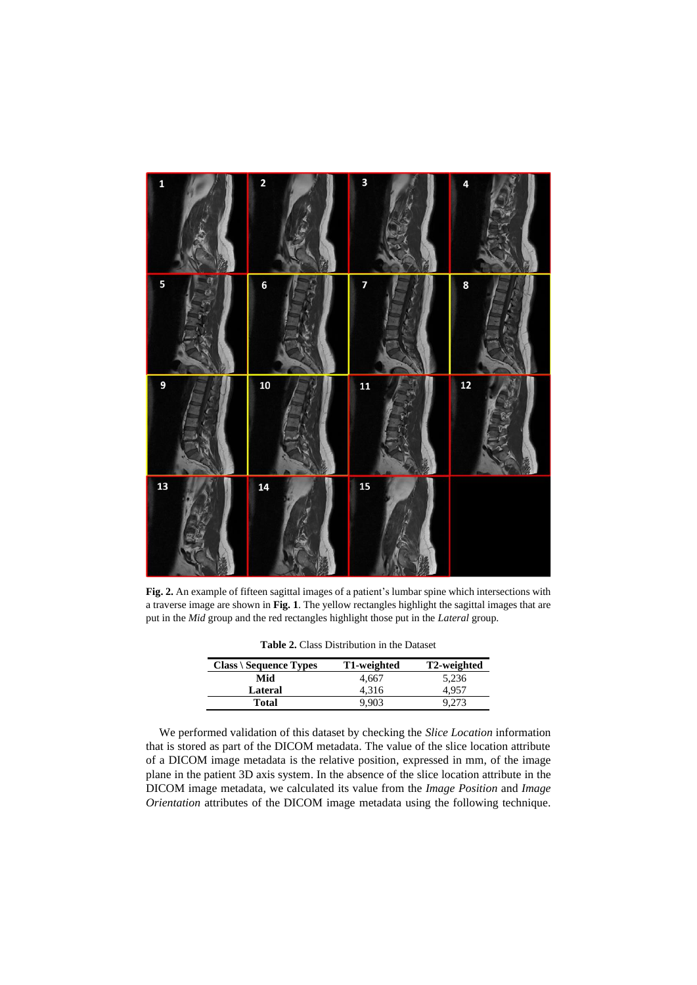

<span id="page-4-1"></span><span id="page-4-0"></span>**Fig. 2.** An example of fifteen sagittal images of a patient's lumbar spine which intersections with a traverse image are shown in **[Fig. 1](#page-3-0)**. The yellow rectangles highlight the sagittal images that are put in the *Mid* group and the red rectangles highlight those put in the *Lateral* group.

|  |  |  | <b>Table 2.</b> Class Distribution in the Dataset |  |  |
|--|--|--|---------------------------------------------------|--|--|
|--|--|--|---------------------------------------------------|--|--|

| $Class \ Sequence Types$ | T1-weighted | T2-weighted |
|--------------------------|-------------|-------------|
| Mid                      | 4.667       | 5,236       |
| Lateral                  | 4.316       |             |
| Total                    |             |             |

We performed validation of this dataset by checking the *Slice Location* information that is stored as part of the DICOM metadata. The value of the slice location attribute of a DICOM image metadata is the relative position, expressed in mm, of the image plane in the patient 3D axis system. In the absence of the slice location attribute in the DICOM image metadata, we calculated its value from the *Image Position* and *Image Orientation* attributes of the DICOM image metadata using the following technique.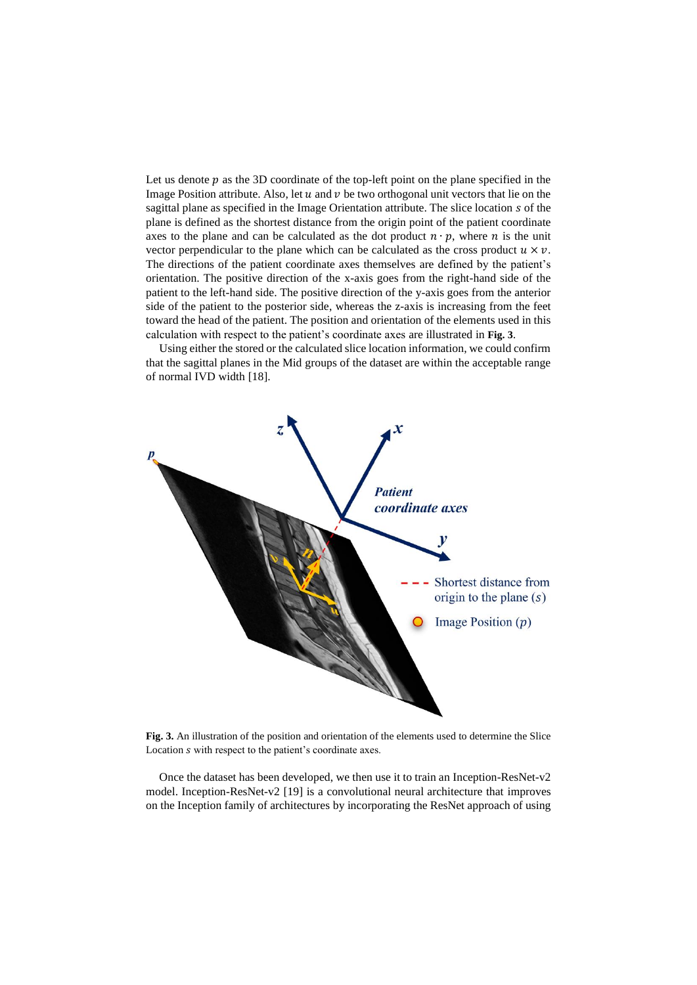Let us denote  $p$  as the 3D coordinate of the top-left point on the plane specified in the Image Position attribute. Also, let  $u$  and  $v$  be two orthogonal unit vectors that lie on the sagittal plane as specified in the Image Orientation attribute. The slice location s of the plane is defined as the shortest distance from the origin point of the patient coordinate axes to the plane and can be calculated as the dot product  $n \cdot p$ , where *n* is the unit vector perpendicular to the plane which can be calculated as the cross product  $u \times v$ . The directions of the patient coordinate axes themselves are defined by the patient's orientation. The positive direction of the x-axis goes from the right-hand side of the patient to the left-hand side. The positive direction of the y-axis goes from the anterior side of the patient to the posterior side, whereas the z-axis is increasing from the feet toward the head of the patient. The position and orientation of the elements used in this calculation with respect to the patient's coordinate axes are illustrated in **[Fig. 3](#page-5-0)**.

Using either the stored or the calculated slice location information, we could confirm that the sagittal planes in the Mid groups of the dataset are within the acceptable range of normal IVD width [18].



<span id="page-5-0"></span>**Fig. 3.** An illustration of the position and orientation of the elements used to determine the Slice Location *s* with respect to the patient's coordinate axes.

Once the dataset has been developed, we then use it to train an Inception-ResNet- $v2$ model. Inception-ResNet-v2 [19] is a convolutional neural architecture that improves on the Inception family of architectures by incorporating the ResNet approach of using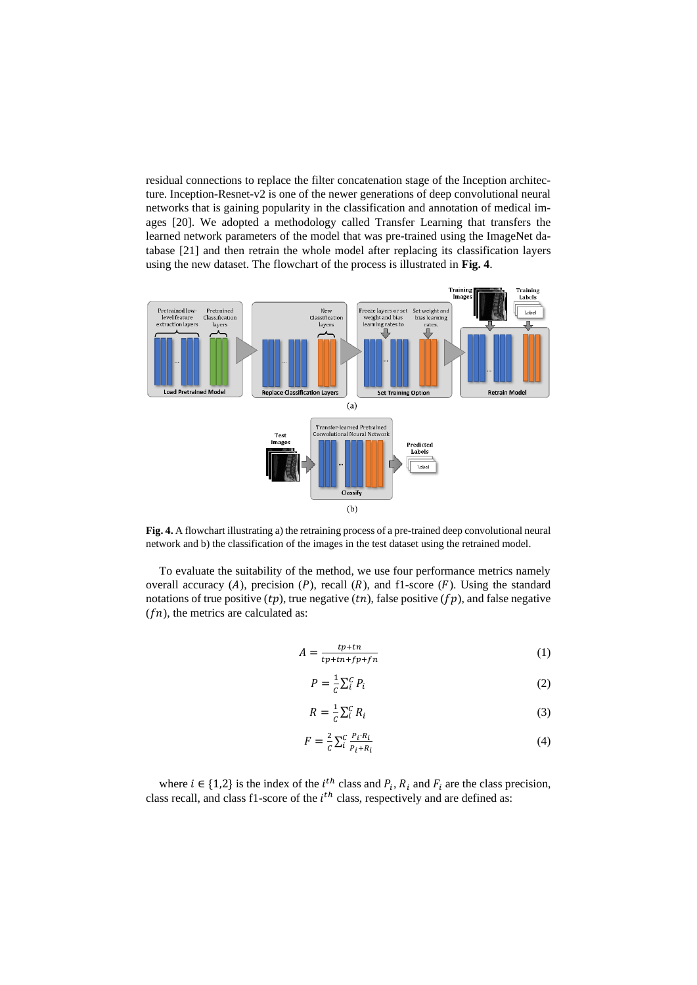residual connections to replace the filter concatenation stage of the Inception architecture. Inception-Resnet-v2 is one of the newer generations of deep convolutional neural networks that is gaining popularity in the classification and annotation of medical images [20]. We adopted a methodology called Transfer Learning that transfers the learned network parameters of the model that was pre-trained using the ImageNet database [21] and then retrain the whole model after replacing its classification layers using the new dataset. The flowchart of the process is illustrated in **[Fig. 4](#page-6-0)**.



<span id="page-6-0"></span>**Fig. 4.** A flowchart illustrating a) the retraining process of a pre-trained deep convolutional neural network and b) the classification of the images in the test dataset using the retrained model.

To evaluate the suitability of the method, we use four performance metrics namely overall accuracy (A), precision (P), recall (R), and f1-score (F). Using the standard notations of true positive  $(tp)$ , true negative  $(tn)$ , false positive  $(fp)$ , and false negative  $(fn)$ , the metrics are calculated as:

$$
A = \frac{tp + tn}{tp + tn + fp + fn} \tag{1}
$$

$$
P = \frac{1}{c} \sum_{i}^{c} P_{i}
$$
 (2)

$$
R = \frac{1}{c} \sum_{i}^{c} R_{i}
$$
 (3)

$$
F = \frac{2}{c} \sum_{i}^{c} \frac{P_i \cdot R_i}{P_i + R_i} \tag{4}
$$

where  $i \in \{1,2\}$  is the index of the  $i^{th}$  class and  $P_i$ ,  $R_i$  and  $F_i$  are the class precision, class recall, and class f1-score of the  $i<sup>th</sup>$  class, respectively and are defined as: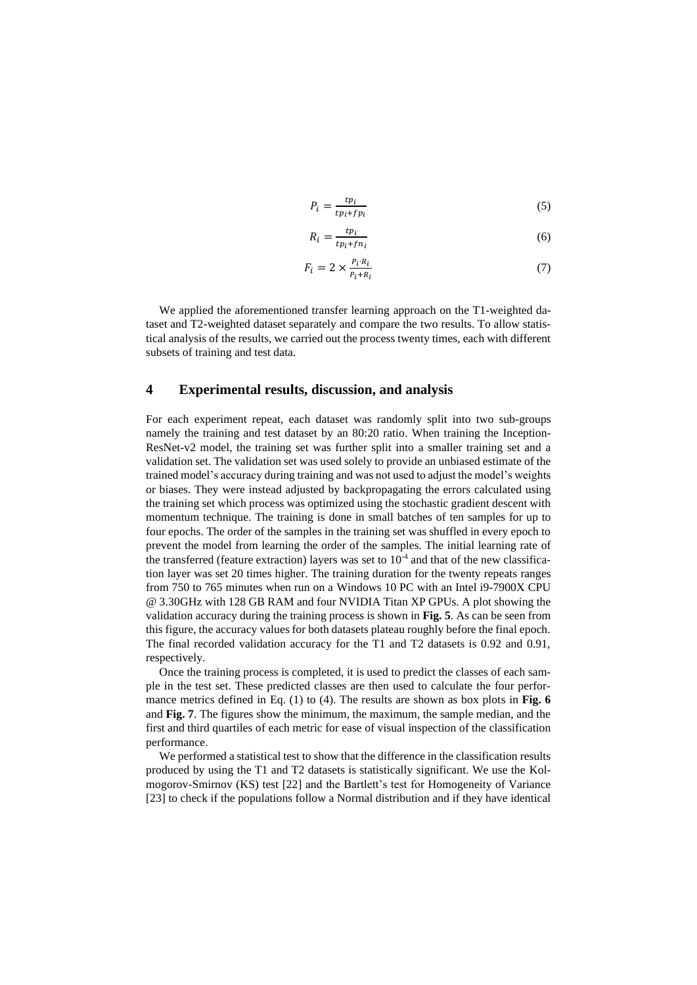$$
P_i = \frac{tp_i}{tp_i + fp_i} \tag{5}
$$

$$
R_i = \frac{tp_i}{tp_i + fn_i} \tag{6}
$$

$$
F_i = 2 \times \frac{P_i \cdot R_i}{P_i + R_i} \tag{7}
$$

We applied the aforementioned transfer learning approach on the T1-weighted dataset and T2-weighted dataset separately and compare the two results. To allow statistical analysis of the results, we carried out the process twenty times, each with different subsets of training and test data.

## **4 Experimental results, discussion, and analysis**

For each experiment repeat, each dataset was randomly split into two sub-groups namely the training and test dataset by an 80:20 ratio. When training the Inception-ResNet-v2 model, the training set was further split into a smaller training set and a validation set. The validation set was used solely to provide an unbiased estimate of the trained model's accuracy during training and was not used to adjust the model's weights or biases. They were instead adjusted by backpropagating the errors calculated using the training set which process was optimized using the stochastic gradient descent with momentum technique. The training is done in small batches of ten samples for up to four epochs. The order of the samples in the training set was shuffled in every epoch to prevent the model from learning the order of the samples. The initial learning rate of the transferred (feature extraction) layers was set to  $10<sup>-4</sup>$  and that of the new classification layer was set 20 times higher. The training duration for the twenty repeats ranges from 750 to 765 minutes when run on a Windows 10 PC with an Intel i9-7900X CPU @ 3.30GHz with 128 GB RAM and four NVIDIA Titan XP GPUs. A plot showing the validation accuracy during the training process is shown in **[Fig. 5](#page-8-0)**. As can be seen from this figure, the accuracy values for both datasets plateau roughly before the final epoch. The final recorded validation accuracy for the T1 and T2 datasets is 0.92 and 0.91, respectively.

Once the training process is completed, it is used to predict the classes of each sample in the test set. These predicted classes are then used to calculate the four performance metrics defined in Eq. (1) to (4). The results are shown as box plots in **[Fig. 6](#page-9-0)** and **[Fig. 7](#page-9-1)**. The figures show the minimum, the maximum, the sample median, and the first and third quartiles of each metric for ease of visual inspection of the classification performance.

We performed a statistical test to show that the difference in the classification results produced by using the T1 and T2 datasets is statistically significant. We use the Kolmogorov-Smirnov (KS) test [22] and the Bartlett's test for Homogeneity of Variance [23] to check if the populations follow a Normal distribution and if they have identical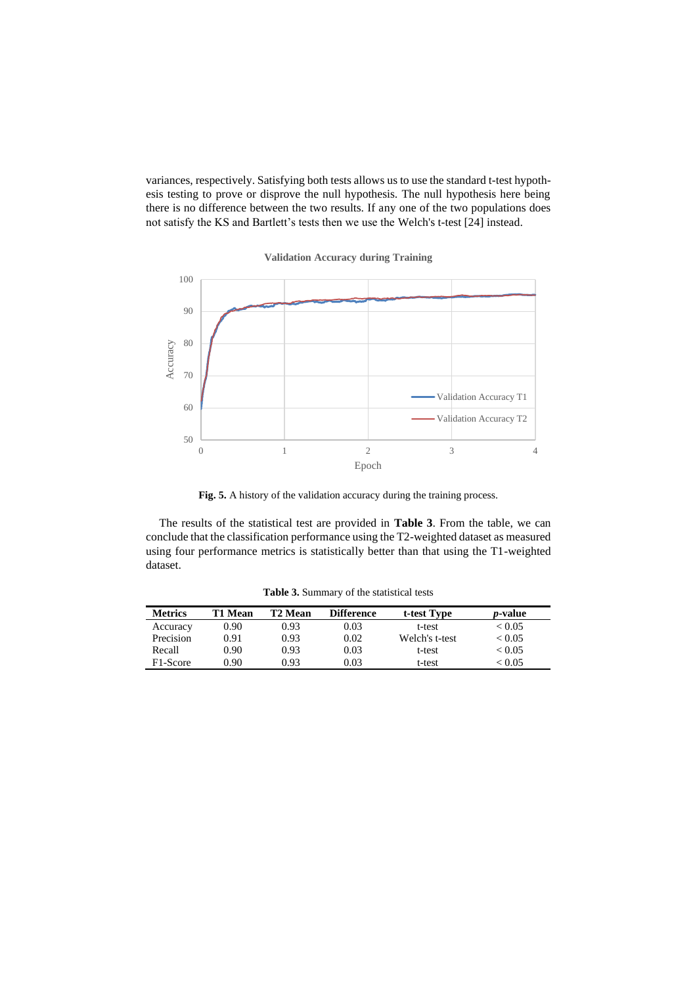variances, respectively. Satisfying both tests allows us to use the standard t-test hypothesis testing to prove or disprove the null hypothesis. The null hypothesis here being there is no difference between the two results. If any one of the two populations does not satisfy the KS and Bartlett's tests then we use the Welch's t-test [24] instead.



**Validation Accuracy during Training**

Fig. 5. A history of the validation accuracy during the training process.

<span id="page-8-0"></span>The results of the statistical test are provided in **[Table 3](#page-8-1)**. From the table, we can conclude that the classification performance using the T2-weighted dataset as measured using four performance metrics is statistically better than that using the T1-weighted dataset.

<span id="page-8-1"></span>

| <b>Metrics</b> | T1 Mean | T2 Mean | <b>Difference</b> | t-test Type    | <i>p</i> -value |
|----------------|---------|---------|-------------------|----------------|-----------------|
| Accuracy       | 0.90    | 0.93    | 0.03              | t-test         | < 0.05          |
| Precision      | 0.91    | 0.93    | 0.02              | Welch's t-test | < 0.05          |
| Recall         | 0.90    | 0.93    | 0.03              | t-test         | < 0.05          |
| F1-Score       | 0.90    | 0.93    | 0.03              | t-test         | < 0.05          |

**Table 3.** Summary of the statistical tests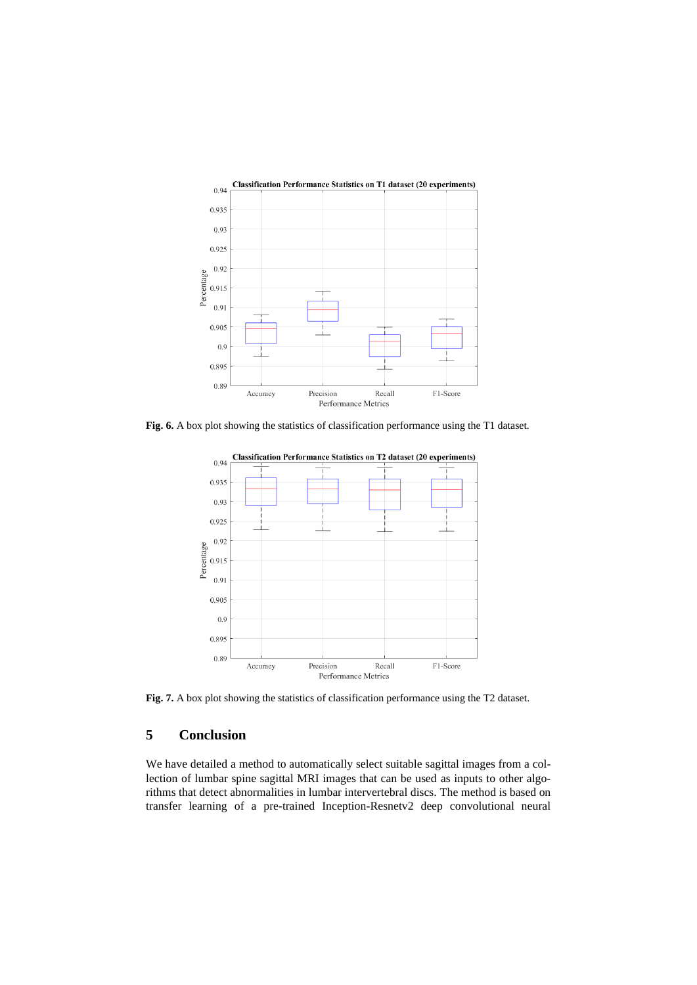

<span id="page-9-0"></span>**Fig. 6.** A box plot showing the statistics of classification performance using the T1 dataset.



<span id="page-9-1"></span>**Fig. 7.** A box plot showing the statistics of classification performance using the T2 dataset.

## **5 Conclusion**

We have detailed a method to automatically select suitable sagittal images from a collection of lumbar spine sagittal MRI images that can be used as inputs to other algorithms that detect abnormalities in lumbar intervertebral discs. The method is based on transfer learning of a pre-trained Inception-Resnetv2 deep convolutional neural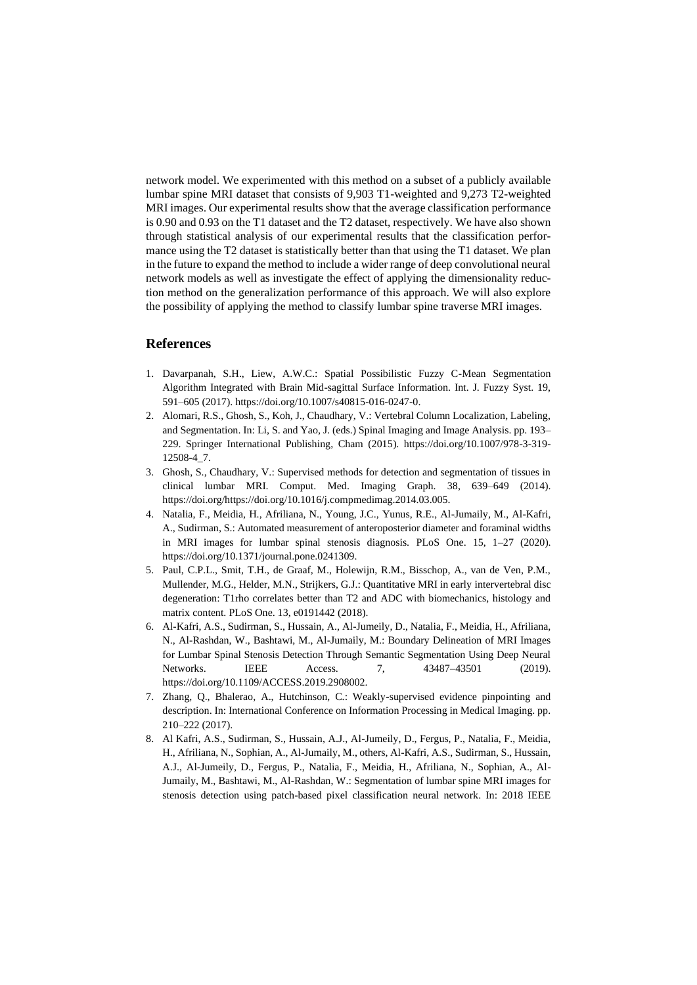network model. We experimented with this method on a subset of a publicly available lumbar spine MRI dataset that consists of 9,903 T1-weighted and 9,273 T2-weighted MRI images. Our experimental results show that the average classification performance is 0.90 and 0.93 on the T1 dataset and the T2 dataset, respectively. We have also shown through statistical analysis of our experimental results that the classification performance using the T2 dataset is statistically better than that using the T1 dataset. We plan in the future to expand the method to include a wider range of deep convolutional neural network models as well as investigate the effect of applying the dimensionality reduction method on the generalization performance of this approach. We will also explore the possibility of applying the method to classify lumbar spine traverse MRI images.

#### **References**

- 1. Davarpanah, S.H., Liew, A.W.C.: Spatial Possibilistic Fuzzy C-Mean Segmentation Algorithm Integrated with Brain Mid-sagittal Surface Information. Int. J. Fuzzy Syst. 19, 591–605 (2017). https://doi.org/10.1007/s40815-016-0247-0.
- 2. Alomari, R.S., Ghosh, S., Koh, J., Chaudhary, V.: Vertebral Column Localization, Labeling, and Segmentation. In: Li, S. and Yao, J. (eds.) Spinal Imaging and Image Analysis. pp. 193– 229. Springer International Publishing, Cham (2015). https://doi.org/10.1007/978-3-319- 12508-4\_7.
- 3. Ghosh, S., Chaudhary, V.: Supervised methods for detection and segmentation of tissues in clinical lumbar MRI. Comput. Med. Imaging Graph. 38, 639–649 (2014). https://doi.org/https://doi.org/10.1016/j.compmedimag.2014.03.005.
- 4. Natalia, F., Meidia, H., Afriliana, N., Young, J.C., Yunus, R.E., Al-Jumaily, M., Al-Kafri, A., Sudirman, S.: Automated measurement of anteroposterior diameter and foraminal widths in MRI images for lumbar spinal stenosis diagnosis. PLoS One. 15, 1–27 (2020). https://doi.org/10.1371/journal.pone.0241309.
- 5. Paul, C.P.L., Smit, T.H., de Graaf, M., Holewijn, R.M., Bisschop, A., van de Ven, P.M., Mullender, M.G., Helder, M.N., Strijkers, G.J.: Quantitative MRI in early intervertebral disc degeneration: T1rho correlates better than T2 and ADC with biomechanics, histology and matrix content. PLoS One. 13, e0191442 (2018).
- 6. Al-Kafri, A.S., Sudirman, S., Hussain, A., Al-Jumeily, D., Natalia, F., Meidia, H., Afriliana, N., Al-Rashdan, W., Bashtawi, M., Al-Jumaily, M.: Boundary Delineation of MRI Images for Lumbar Spinal Stenosis Detection Through Semantic Segmentation Using Deep Neural Networks. IEEE Access. 7, 43487-43501 (2019). https://doi.org/10.1109/ACCESS.2019.2908002.
- 7. Zhang, Q., Bhalerao, A., Hutchinson, C.: Weakly-supervised evidence pinpointing and description. In: International Conference on Information Processing in Medical Imaging. pp. 210–222 (2017).
- 8. Al Kafri, A.S., Sudirman, S., Hussain, A.J., Al-Jumeily, D., Fergus, P., Natalia, F., Meidia, H., Afriliana, N., Sophian, A., Al-Jumaily, M., others, Al-Kafri, A.S., Sudirman, S., Hussain, A.J., Al-Jumeily, D., Fergus, P., Natalia, F., Meidia, H., Afriliana, N., Sophian, A., Al-Jumaily, M., Bashtawi, M., Al-Rashdan, W.: Segmentation of lumbar spine MRI images for stenosis detection using patch-based pixel classification neural network. In: 2018 IEEE